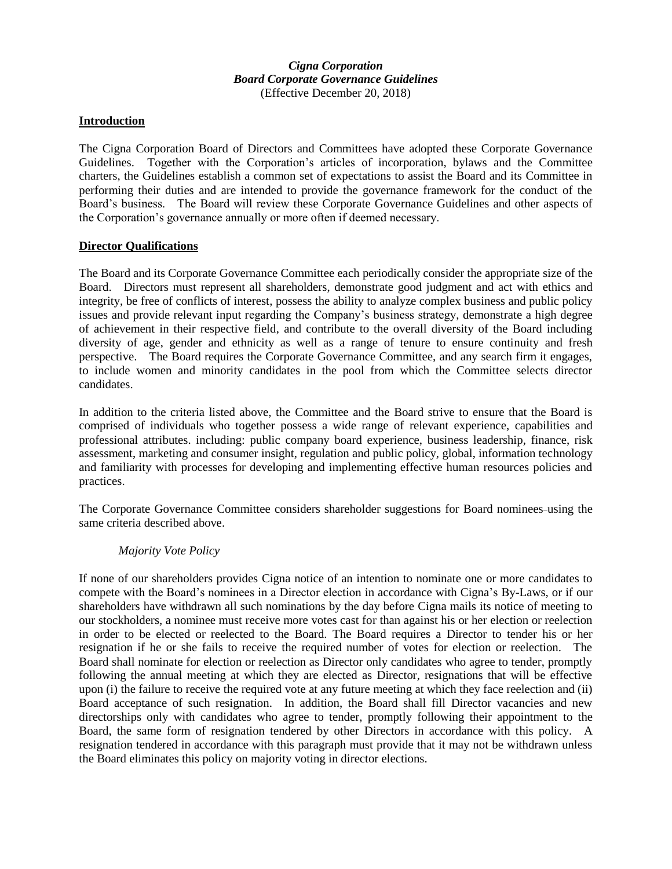## *Cigna Corporation Board Corporate Governance Guidelines* (Effective December 20, 2018)

## **Introduction**

The Cigna Corporation Board of Directors and Committees have adopted these Corporate Governance Guidelines. Together with the Corporation's articles of incorporation, bylaws and the Committee charters, the Guidelines establish a common set of expectations to assist the Board and its Committee in performing their duties and are intended to provide the governance framework for the conduct of the Board's business. The Board will review these Corporate Governance Guidelines and other aspects of the Corporation's governance annually or more often if deemed necessary.

#### **Director Qualifications**

The Board and its Corporate Governance Committee each periodically consider the appropriate size of the Board. Directors must represent all shareholders, demonstrate good judgment and act with ethics and integrity, be free of conflicts of interest, possess the ability to analyze complex business and public policy issues and provide relevant input regarding the Company's business strategy, demonstrate a high degree of achievement in their respective field, and contribute to the overall diversity of the Board including diversity of age, gender and ethnicity as well as a range of tenure to ensure continuity and fresh perspective. The Board requires the Corporate Governance Committee, and any search firm it engages, to include women and minority candidates in the pool from which the Committee selects director candidates.

In addition to the criteria listed above, the Committee and the Board strive to ensure that the Board is comprised of individuals who together possess a wide range of relevant experience, capabilities and professional attributes. including: public company board experience, business leadership, finance, risk assessment, marketing and consumer insight, regulation and public policy, global, information technology and familiarity with processes for developing and implementing effective human resources policies and practices.

The Corporate Governance Committee considers shareholder suggestions for Board nominees using the same criteria described above.

#### *Majority Vote Policy*

If none of our shareholders provides Cigna notice of an intention to nominate one or more candidates to compete with the Board's nominees in a Director election in accordance with Cigna's By-Laws, or if our shareholders have withdrawn all such nominations by the day before Cigna mails its notice of meeting to our stockholders, a nominee must receive more votes cast for than against his or her election or reelection in order to be elected or reelected to the Board. The Board requires a Director to tender his or her resignation if he or she fails to receive the required number of votes for election or reelection. The Board shall nominate for election or reelection as Director only candidates who agree to tender, promptly following the annual meeting at which they are elected as Director, resignations that will be effective upon (i) the failure to receive the required vote at any future meeting at which they face reelection and (ii) Board acceptance of such resignation. In addition, the Board shall fill Director vacancies and new directorships only with candidates who agree to tender, promptly following their appointment to the Board, the same form of resignation tendered by other Directors in accordance with this policy. A resignation tendered in accordance with this paragraph must provide that it may not be withdrawn unless the Board eliminates this policy on majority voting in director elections.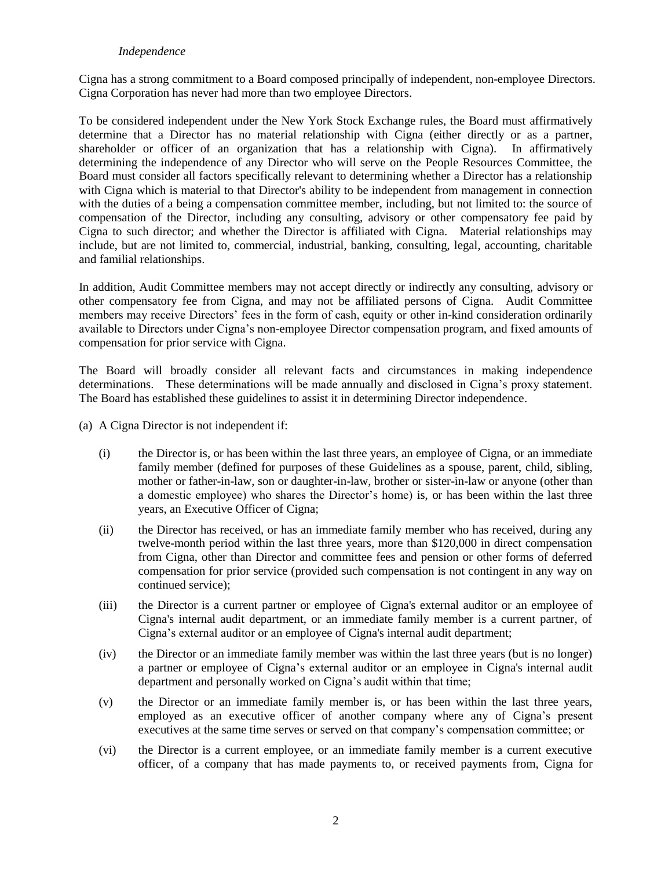#### *Independence*

Cigna has a strong commitment to a Board composed principally of independent, non-employee Directors. Cigna Corporation has never had more than two employee Directors.

To be considered independent under the New York Stock Exchange rules, the Board must affirmatively determine that a Director has no material relationship with Cigna (either directly or as a partner, shareholder or officer of an organization that has a relationship with Cigna). In affirmatively determining the independence of any Director who will serve on the People Resources Committee, the Board must consider all factors specifically relevant to determining whether a Director has a relationship with Cigna which is material to that Director's ability to be independent from management in connection with the duties of a being a compensation committee member, including, but not limited to: the source of compensation of the Director, including any consulting, advisory or other compensatory fee paid by Cigna to such director; and whether the Director is affiliated with Cigna. Material relationships may include, but are not limited to, commercial, industrial, banking, consulting, legal, accounting, charitable and familial relationships.

In addition, Audit Committee members may not accept directly or indirectly any consulting, advisory or other compensatory fee from Cigna, and may not be affiliated persons of Cigna. Audit Committee members may receive Directors' fees in the form of cash, equity or other in-kind consideration ordinarily available to Directors under Cigna's non-employee Director compensation program, and fixed amounts of compensation for prior service with Cigna.

The Board will broadly consider all relevant facts and circumstances in making independence determinations. These determinations will be made annually and disclosed in Cigna's proxy statement. The Board has established these guidelines to assist it in determining Director independence.

- (a) A Cigna Director is not independent if:
	- (i) the Director is, or has been within the last three years, an employee of Cigna, or an immediate family member (defined for purposes of these Guidelines as a spouse, parent, child, sibling, mother or father-in-law, son or daughter-in-law, brother or sister-in-law or anyone (other than a domestic employee) who shares the Director's home) is, or has been within the last three years, an Executive Officer of Cigna;
	- (ii) the Director has received, or has an immediate family member who has received, during any twelve-month period within the last three years, more than \$120,000 in direct compensation from Cigna, other than Director and committee fees and pension or other forms of deferred compensation for prior service (provided such compensation is not contingent in any way on continued service);
	- (iii) the Director is a current partner or employee of Cigna's external auditor or an employee of Cigna's internal audit department, or an immediate family member is a current partner, of Cigna's external auditor or an employee of Cigna's internal audit department;
	- (iv) the Director or an immediate family member was within the last three years (but is no longer) a partner or employee of Cigna's external auditor or an employee in Cigna's internal audit department and personally worked on Cigna's audit within that time;
	- (v) the Director or an immediate family member is, or has been within the last three years, employed as an executive officer of another company where any of Cigna's present executives at the same time serves or served on that company's compensation committee; or
	- (vi) the Director is a current employee, or an immediate family member is a current executive officer, of a company that has made payments to, or received payments from, Cigna for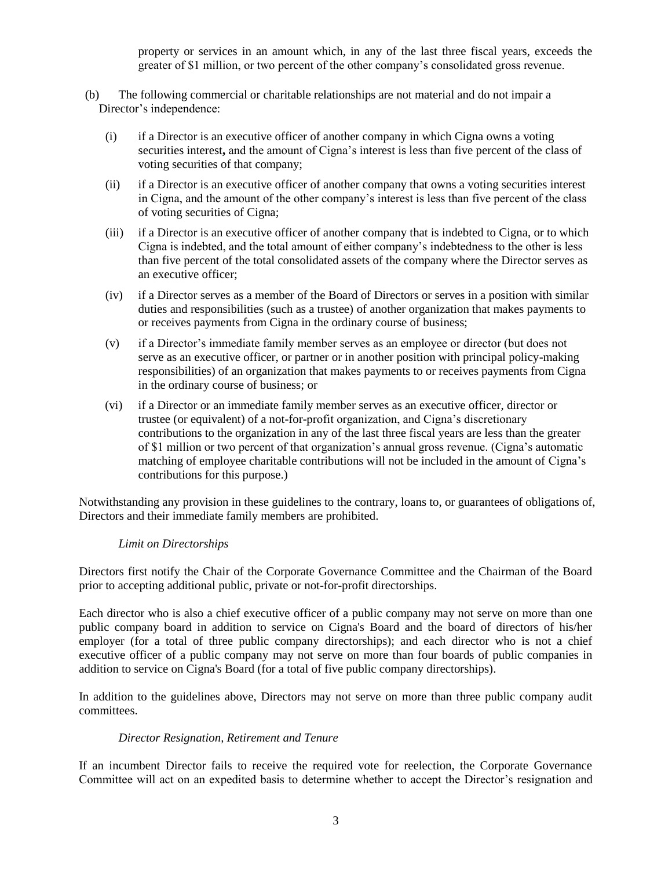property or services in an amount which, in any of the last three fiscal years, exceeds the greater of \$1 million, or two percent of the other company's consolidated gross revenue.

- (b) The following commercial or charitable relationships are not material and do not impair a Director's independence:
	- (i) if a Director is an executive officer of another company in which Cigna owns a voting securities interest**,** and the amount of Cigna's interest is less than five percent of the class of voting securities of that company;
	- (ii) if a Director is an executive officer of another company that owns a voting securities interest in Cigna, and the amount of the other company's interest is less than five percent of the class of voting securities of Cigna;
	- (iii) if a Director is an executive officer of another company that is indebted to Cigna, or to which Cigna is indebted, and the total amount of either company's indebtedness to the other is less than five percent of the total consolidated assets of the company where the Director serves as an executive officer;
	- (iv) if a Director serves as a member of the Board of Directors or serves in a position with similar duties and responsibilities (such as a trustee) of another organization that makes payments to or receives payments from Cigna in the ordinary course of business;
	- (v) if a Director's immediate family member serves as an employee or director (but does not serve as an executive officer, or partner or in another position with principal policy-making responsibilities) of an organization that makes payments to or receives payments from Cigna in the ordinary course of business; or
	- (vi) if a Director or an immediate family member serves as an executive officer, director or trustee (or equivalent) of a not-for-profit organization, and Cigna's discretionary contributions to the organization in any of the last three fiscal years are less than the greater of \$1 million or two percent of that organization's annual gross revenue. (Cigna's automatic matching of employee charitable contributions will not be included in the amount of Cigna's contributions for this purpose.)

Notwithstanding any provision in these guidelines to the contrary, loans to, or guarantees of obligations of, Directors and their immediate family members are prohibited.

## *Limit on Directorships*

Directors first notify the Chair of the Corporate Governance Committee and the Chairman of the Board prior to accepting additional public, private or not-for-profit directorships.

Each director who is also a chief executive officer of a public company may not serve on more than one public company board in addition to service on Cigna's Board and the board of directors of his/her employer (for a total of three public company directorships); and each director who is not a chief executive officer of a public company may not serve on more than four boards of public companies in addition to service on Cigna's Board (for a total of five public company directorships).

In addition to the guidelines above, Directors may not serve on more than three public company audit committees.

## *Director Resignation, Retirement and Tenure*

If an incumbent Director fails to receive the required vote for reelection, the Corporate Governance Committee will act on an expedited basis to determine whether to accept the Director's resignation and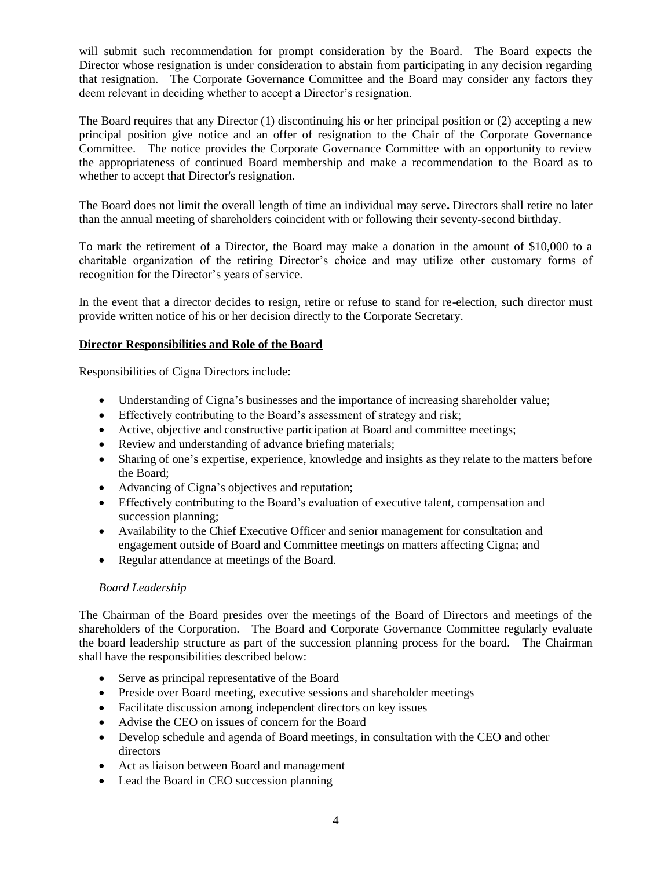will submit such recommendation for prompt consideration by the Board. The Board expects the Director whose resignation is under consideration to abstain from participating in any decision regarding that resignation. The Corporate Governance Committee and the Board may consider any factors they deem relevant in deciding whether to accept a Director's resignation.

The Board requires that any Director (1) discontinuing his or her principal position or (2) accepting a new principal position give notice and an offer of resignation to the Chair of the Corporate Governance Committee. The notice provides the Corporate Governance Committee with an opportunity to review the appropriateness of continued Board membership and make a recommendation to the Board as to whether to accept that Director's resignation.

The Board does not limit the overall length of time an individual may serve**.** Directors shall retire no later than the annual meeting of shareholders coincident with or following their seventy-second birthday.

To mark the retirement of a Director, the Board may make a donation in the amount of \$10,000 to a charitable organization of the retiring Director's choice and may utilize other customary forms of recognition for the Director's years of service.

In the event that a director decides to resign, retire or refuse to stand for re-election, such director must provide written notice of his or her decision directly to the Corporate Secretary.

## **Director Responsibilities and Role of the Board**

Responsibilities of Cigna Directors include:

- Understanding of Cigna's businesses and the importance of increasing shareholder value;
- Effectively contributing to the Board's assessment of strategy and risk;
- Active, objective and constructive participation at Board and committee meetings;
- Review and understanding of advance briefing materials;
- Sharing of one's expertise, experience, knowledge and insights as they relate to the matters before the Board;
- Advancing of Cigna's objectives and reputation;
- Effectively contributing to the Board's evaluation of executive talent, compensation and succession planning;
- Availability to the Chief Executive Officer and senior management for consultation and engagement outside of Board and Committee meetings on matters affecting Cigna; and
- Regular attendance at meetings of the Board.

## *Board Leadership*

The Chairman of the Board presides over the meetings of the Board of Directors and meetings of the shareholders of the Corporation. The Board and Corporate Governance Committee regularly evaluate the board leadership structure as part of the succession planning process for the board.The Chairman shall have the responsibilities described below:

- Serve as principal representative of the Board
- Preside over Board meeting, executive sessions and shareholder meetings
- Facilitate discussion among independent directors on key issues
- Advise the CEO on issues of concern for the Board
- Develop schedule and agenda of Board meetings, in consultation with the CEO and other directors
- Act as liaison between Board and management
- Lead the Board in CEO succession planning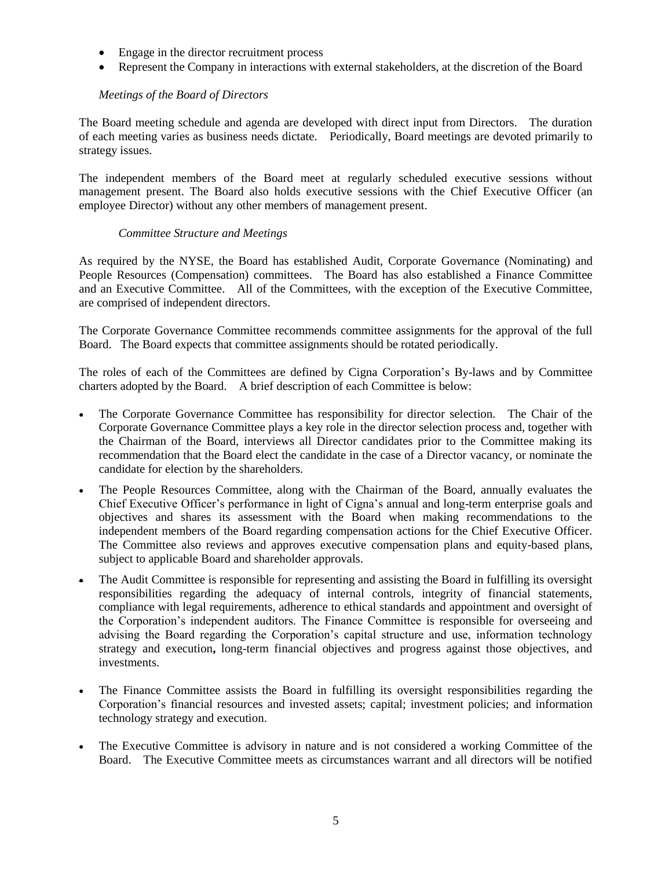- Engage in the director recruitment process
- Represent the Company in interactions with external stakeholders, at the discretion of the Board

# *Meetings of the Board of Directors*

The Board meeting schedule and agenda are developed with direct input from Directors. The duration of each meeting varies as business needs dictate. Periodically, Board meetings are devoted primarily to strategy issues.

The independent members of the Board meet at regularly scheduled executive sessions without management present. The Board also holds executive sessions with the Chief Executive Officer (an employee Director) without any other members of management present.

## *Committee Structure and Meetings*

As required by the NYSE, the Board has established Audit, Corporate Governance (Nominating) and People Resources (Compensation) committees. The Board has also established a Finance Committee and an Executive Committee. All of the Committees, with the exception of the Executive Committee, are comprised of independent directors.

The Corporate Governance Committee recommends committee assignments for the approval of the full Board. The Board expects that committee assignments should be rotated periodically.

The roles of each of the Committees are defined by Cigna Corporation's By-laws and by Committee charters adopted by the Board. A brief description of each Committee is below:

- The Corporate Governance Committee has responsibility for director selection. The Chair of the Corporate Governance Committee plays a key role in the director selection process and, together with the Chairman of the Board, interviews all Director candidates prior to the Committee making its recommendation that the Board elect the candidate in the case of a Director vacancy, or nominate the candidate for election by the shareholders.
- The People Resources Committee, along with the Chairman of the Board, annually evaluates the Chief Executive Officer's performance in light of Cigna's annual and long-term enterprise goals and objectives and shares its assessment with the Board when making recommendations to the independent members of the Board regarding compensation actions for the Chief Executive Officer. The Committee also reviews and approves executive compensation plans and equity-based plans, subject to applicable Board and shareholder approvals.
- The Audit Committee is responsible for representing and assisting the Board in fulfilling its oversight responsibilities regarding the adequacy of internal controls, integrity of financial statements, compliance with legal requirements, adherence to ethical standards and appointment and oversight of the Corporation's independent auditors. The Finance Committee is responsible for overseeing and advising the Board regarding the Corporation's capital structure and use, information technology strategy and execution**,** long-term financial objectives and progress against those objectives, and investments.
- The Finance Committee assists the Board in fulfilling its oversight responsibilities regarding the Corporation's financial resources and invested assets; capital; investment policies; and information technology strategy and execution.
- The Executive Committee is advisory in nature and is not considered a working Committee of the Board. The Executive Committee meets as circumstances warrant and all directors will be notified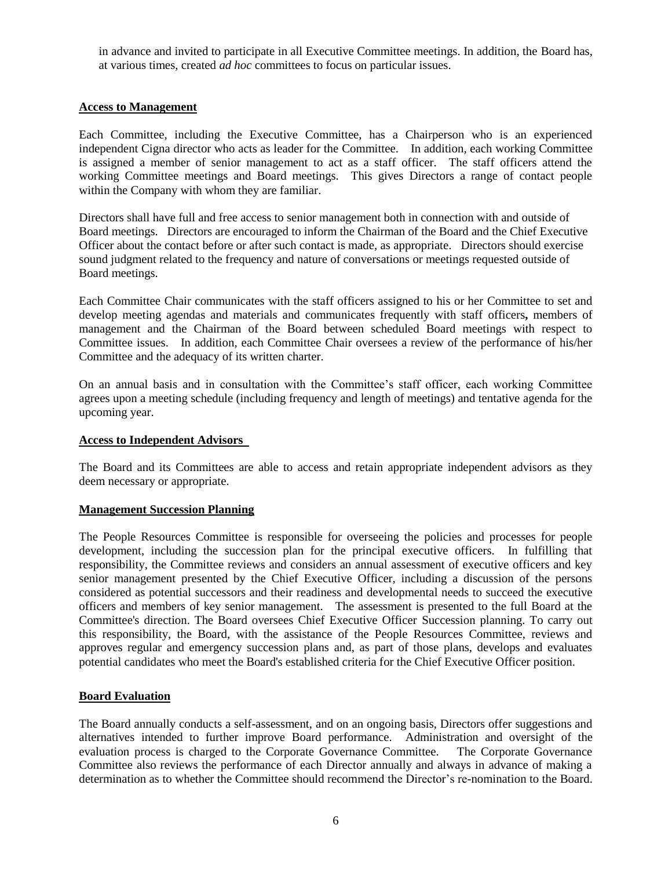in advance and invited to participate in all Executive Committee meetings. In addition, the Board has, at various times, created *ad hoc* committees to focus on particular issues.

#### **Access to Management**

Each Committee, including the Executive Committee, has a Chairperson who is an experienced independent Cigna director who acts as leader for the Committee. In addition, each working Committee is assigned a member of senior management to act as a staff officer. The staff officers attend the working Committee meetings and Board meetings. This gives Directors a range of contact people within the Company with whom they are familiar.

Directors shall have full and free access to senior management both in connection with and outside of Board meetings. Directors are encouraged to inform the Chairman of the Board and the Chief Executive Officer about the contact before or after such contact is made, as appropriate. Directors should exercise sound judgment related to the frequency and nature of conversations or meetings requested outside of Board meetings.

Each Committee Chair communicates with the staff officers assigned to his or her Committee to set and develop meeting agendas and materials and communicates frequently with staff officers**,** members of management and the Chairman of the Board between scheduled Board meetings with respect to Committee issues. In addition, each Committee Chair oversees a review of the performance of his/her Committee and the adequacy of its written charter.

On an annual basis and in consultation with the Committee's staff officer, each working Committee agrees upon a meeting schedule (including frequency and length of meetings) and tentative agenda for the upcoming year.

#### **Access to Independent Advisors**

The Board and its Committees are able to access and retain appropriate independent advisors as they deem necessary or appropriate.

## **Management Succession Planning**

The People Resources Committee is responsible for overseeing the policies and processes for people development, including the succession plan for the principal executive officers. In fulfilling that responsibility, the Committee reviews and considers an annual assessment of executive officers and key senior management presented by the Chief Executive Officer, including a discussion of the persons considered as potential successors and their readiness and developmental needs to succeed the executive officers and members of key senior management. The assessment is presented to the full Board at the Committee's direction. The Board oversees Chief Executive Officer Succession planning. To carry out this responsibility, the Board, with the assistance of the People Resources Committee, reviews and approves regular and emergency succession plans and, as part of those plans, develops and evaluates potential candidates who meet the Board's established criteria for the Chief Executive Officer position.

## **Board Evaluation**

The Board annually conducts a self-assessment, and on an ongoing basis, Directors offer suggestions and alternatives intended to further improve Board performance. Administration and oversight of the evaluation process is charged to the Corporate Governance Committee. The Corporate Governance Committee also reviews the performance of each Director annually and always in advance of making a determination as to whether the Committee should recommend the Director's re-nomination to the Board.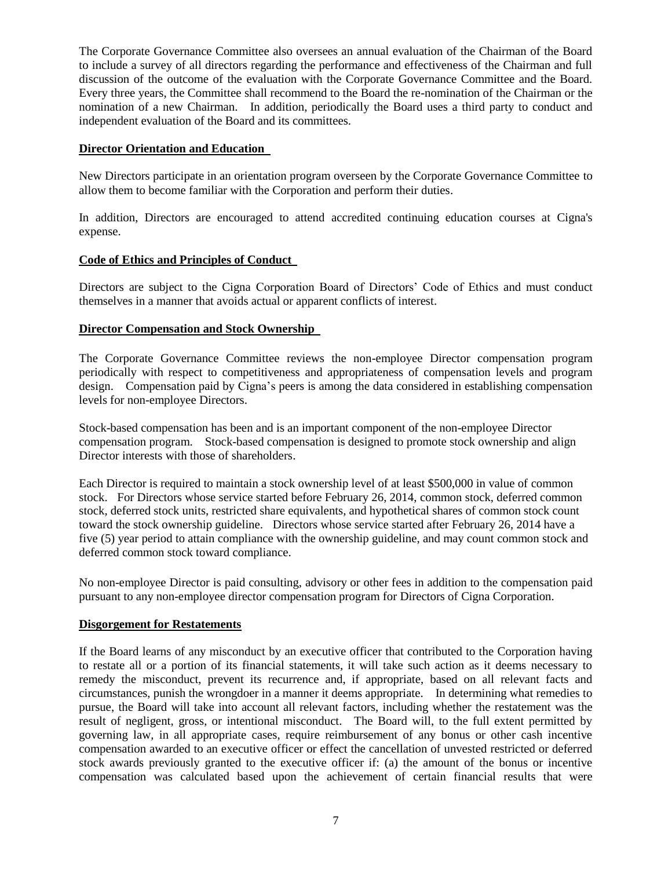The Corporate Governance Committee also oversees an annual evaluation of the Chairman of the Board to include a survey of all directors regarding the performance and effectiveness of the Chairman and full discussion of the outcome of the evaluation with the Corporate Governance Committee and the Board. Every three years, the Committee shall recommend to the Board the re-nomination of the Chairman or the nomination of a new Chairman. In addition, periodically the Board uses a third party to conduct and independent evaluation of the Board and its committees.

## **Director Orientation and Education**

New Directors participate in an orientation program overseen by the Corporate Governance Committee to allow them to become familiar with the Corporation and perform their duties.

In addition, Directors are encouraged to attend accredited continuing education courses at Cigna's expense.

# **Code of Ethics and Principles of Conduct**

Directors are subject to the Cigna Corporation Board of Directors' Code of Ethics and must conduct themselves in a manner that avoids actual or apparent conflicts of interest.

# **Director Compensation and Stock Ownership**

The Corporate Governance Committee reviews the non-employee Director compensation program periodically with respect to competitiveness and appropriateness of compensation levels and program design. Compensation paid by Cigna's peers is among the data considered in establishing compensation levels for non-employee Directors.

Stock-based compensation has been and is an important component of the non-employee Director compensation program. Stock-based compensation is designed to promote stock ownership and align Director interests with those of shareholders.

Each Director is required to maintain a stock ownership level of at least \$500,000 in value of common stock. For Directors whose service started before February 26, 2014, common stock, deferred common stock, deferred stock units, restricted share equivalents, and hypothetical shares of common stock count toward the stock ownership guideline. Directors whose service started after February 26, 2014 have a five (5) year period to attain compliance with the ownership guideline, and may count common stock and deferred common stock toward compliance.

No non-employee Director is paid consulting, advisory or other fees in addition to the compensation paid pursuant to any non-employee director compensation program for Directors of Cigna Corporation.

## **Disgorgement for Restatements**

If the Board learns of any misconduct by an executive officer that contributed to the Corporation having to restate all or a portion of its financial statements, it will take such action as it deems necessary to remedy the misconduct, prevent its recurrence and, if appropriate, based on all relevant facts and circumstances, punish the wrongdoer in a manner it deems appropriate. In determining what remedies to pursue, the Board will take into account all relevant factors, including whether the restatement was the result of negligent, gross, or intentional misconduct. The Board will, to the full extent permitted by governing law, in all appropriate cases, require reimbursement of any bonus or other cash incentive compensation awarded to an executive officer or effect the cancellation of unvested restricted or deferred stock awards previously granted to the executive officer if: (a) the amount of the bonus or incentive compensation was calculated based upon the achievement of certain financial results that were